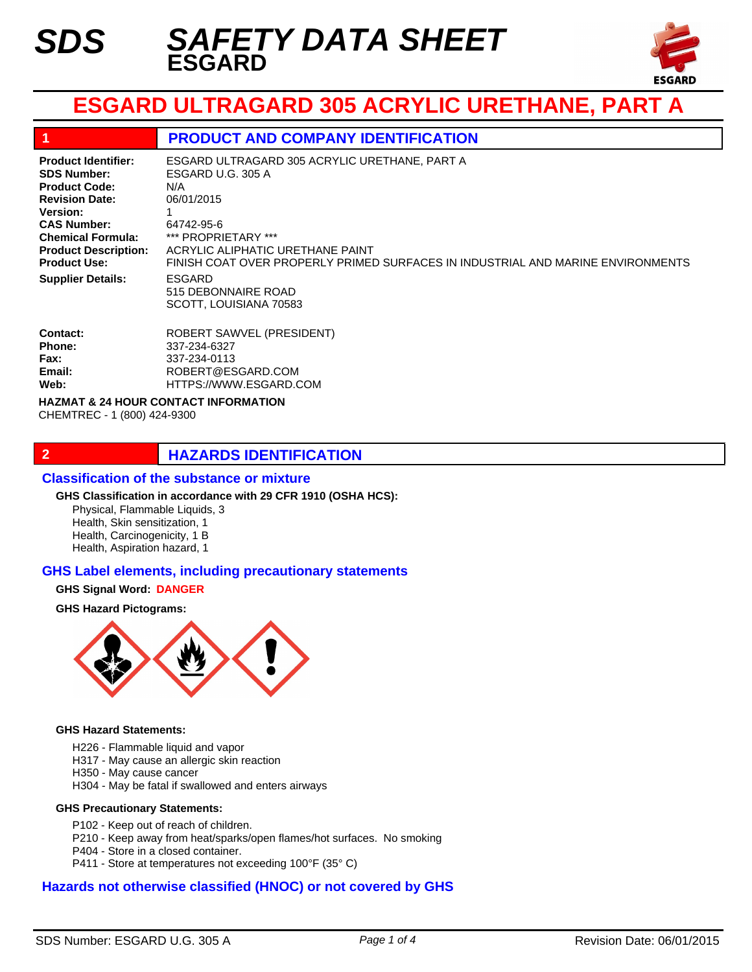

# **ESGARD ULTRAGARD 305 ACRYLIC URETHANE, PART A**

### **1 PRODUCT AND COMPANY IDENTIFICATION**

**Product Identifier: SDS Number: Product Code: Revision Date: Version: CAS Number: Chemical Formula: Product Description: Product Use: Supplier Details:**

ESGARD 515 DEBONNAIRE ROAD SCOTT, LOUISIANA 70583 ESGARD ULTRAGARD 305 ACRYLIC URETHANE, PART A ESGARD U.G. 305 A N/A 06/01/2015 1 64742-95-6 \*\*\* PROPRIETARY \*\*\* ACRYLIC ALIPHATIC URETHANE PAINT FINISH COAT OVER PROPERLY PRIMED SURFACES IN INDUSTRIAL AND MARINE ENVIRONMENTS

| <b>ROBERT SAWVEL (PRESIDENT)</b> |
|----------------------------------|
| 337-234-6327                     |
| 337-234-0113                     |
| ROBERT@ESGARD.COM                |
| HTTPS://WWW.ESGARD.COM           |
|                                  |

**HAZMAT & 24 HOUR CONTACT INFORMATION** 

CHEMTREC - 1 (800) 424-9300

# **2 HAZARDS IDENTIFICATION**

### **Classification of the substance or mixture**

#### **GHS Classification in accordance with 29 CFR 1910 (OSHA HCS):**

Physical, Flammable Liquids, 3 Health, Skin sensitization, 1 Health, Carcinogenicity, 1 B Health, Aspiration hazard, 1

### **GHS Label elements, including precautionary statements**

#### **GHS Signal Word: DANGER**

#### **GHS Hazard Pictograms:**



#### **GHS Hazard Statements:**

- H226 Flammable liquid and vapor
- H317 May cause an allergic skin reaction
- H350 May cause cancer
- H304 May be fatal if swallowed and enters airways

#### **GHS Precautionary Statements:**

- P102 Keep out of reach of children.
- P210 Keep away from heat/sparks/open flames/hot surfaces. No smoking
- P404 Store in a closed container.
- P411 Store at temperatures not exceeding 100°F (35° C)

### **Hazards not otherwise classified (HNOC) or not covered by GHS**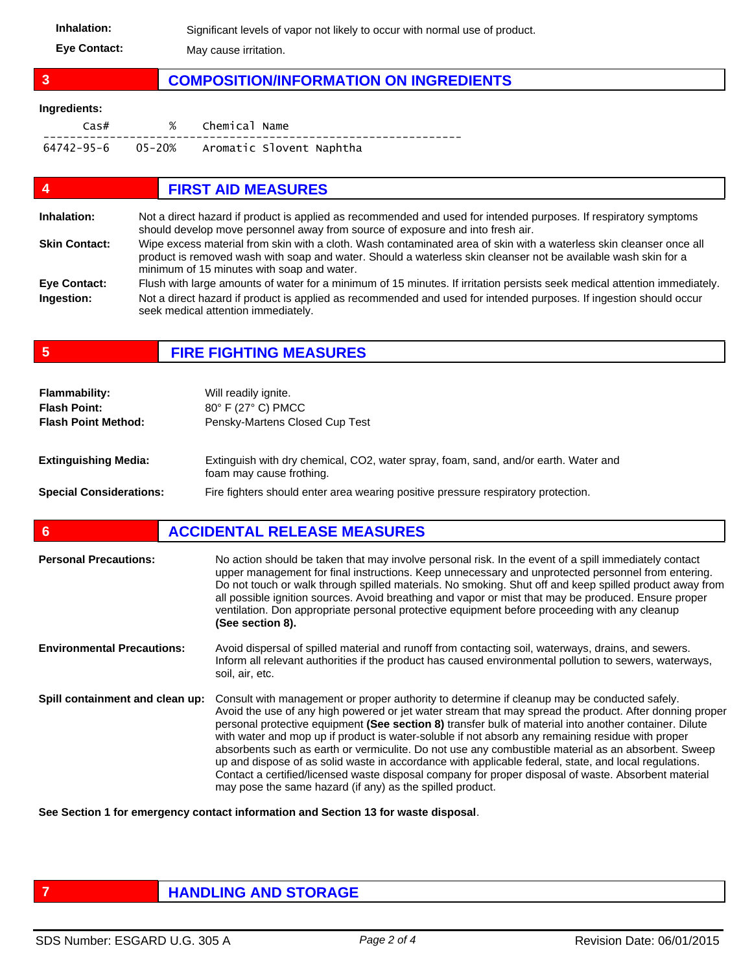Inhalation: Significant levels of vapor not likely to occur with normal use of product. **Eye Contact:** May cause irritation.

# **3 COMPOSITION/INFORMATION ON INGREDIENTS**

#### **Ingredients:**

| Cas# | % Chemical Name                            |
|------|--------------------------------------------|
|      | 64742-95-6 05-20% Aromatic Slovent Naphtha |

# **4 FIRST AID MEASURES**

| Inhalation:          | Not a direct hazard if product is applied as recommended and used for intended purposes. If respiratory symptoms<br>should develop move personnel away from source of exposure and into fresh air.                                                                                  |
|----------------------|-------------------------------------------------------------------------------------------------------------------------------------------------------------------------------------------------------------------------------------------------------------------------------------|
| <b>Skin Contact:</b> | Wipe excess material from skin with a cloth. Wash contaminated area of skin with a waterless skin cleanser once all<br>product is removed wash with soap and water. Should a waterless skin cleanser not be available wash skin for a<br>minimum of 15 minutes with soap and water. |
| <b>Eye Contact:</b>  | Flush with large amounts of water for a minimum of 15 minutes. If irritation persists seek medical attention immediately.                                                                                                                                                           |
| Ingestion:           | Not a direct hazard if product is applied as recommended and used for intended purposes. If ingestion should occur<br>seek medical attention immediately.                                                                                                                           |

**5 FIRE FIGHTING MEASURES**

| <b>Flammability:</b><br><b>Flash Point:</b> | Will readily ignite.<br>80° F (27° C) PMCC                                                                      |
|---------------------------------------------|-----------------------------------------------------------------------------------------------------------------|
| <b>Flash Point Method:</b>                  | Pensky-Martens Closed Cup Test                                                                                  |
| <b>Extinguishing Media:</b>                 | Extinguish with dry chemical, CO2, water spray, foam, sand, and/or earth. Water and<br>foam may cause frothing. |
| <b>Special Considerations:</b>              | Fire fighters should enter area wearing positive pressure respiratory protection.                               |

# **6 ACCIDENTAL RELEASE MEASURES**

| <b>Personal Precautions:</b>      | No action should be taken that may involve personal risk. In the event of a spill immediately contact<br>upper management for final instructions. Keep unnecessary and unprotected personnel from entering.<br>Do not touch or walk through spilled materials. No smoking. Shut off and keep spilled product away from<br>all possible ignition sources. Avoid breathing and vapor or mist that may be produced. Ensure proper<br>ventilation. Don appropriate personal protective equipment before proceeding with any cleanup<br>(See section 8).                                                                                                                                                                                                                                                         |
|-----------------------------------|-------------------------------------------------------------------------------------------------------------------------------------------------------------------------------------------------------------------------------------------------------------------------------------------------------------------------------------------------------------------------------------------------------------------------------------------------------------------------------------------------------------------------------------------------------------------------------------------------------------------------------------------------------------------------------------------------------------------------------------------------------------------------------------------------------------|
| <b>Environmental Precautions:</b> | Avoid dispersal of spilled material and runoff from contacting soil, waterways, drains, and sewers.<br>Inform all relevant authorities if the product has caused environmental pollution to sewers, waterways,<br>soil, air, etc.                                                                                                                                                                                                                                                                                                                                                                                                                                                                                                                                                                           |
| Spill containment and clean up:   | Consult with management or proper authority to determine if cleanup may be conducted safely.<br>Avoid the use of any high powered or jet water stream that may spread the product. After donning proper<br>personal protective equipment (See section 8) transfer bulk of material into another container. Dilute<br>with water and mop up if product is water-soluble if not absorb any remaining residue with proper<br>absorbents such as earth or vermiculite. Do not use any combustible material as an absorbent. Sweep<br>up and dispose of as solid waste in accordance with applicable federal, state, and local regulations.<br>Contact a certified/licensed waste disposal company for proper disposal of waste. Absorbent material<br>may pose the same hazard (if any) as the spilled product. |

**See Section 1 for emergency contact information and Section 13 for waste disposal**.

# **FIGURE 12 IN THE HANDLING AND STORAGE**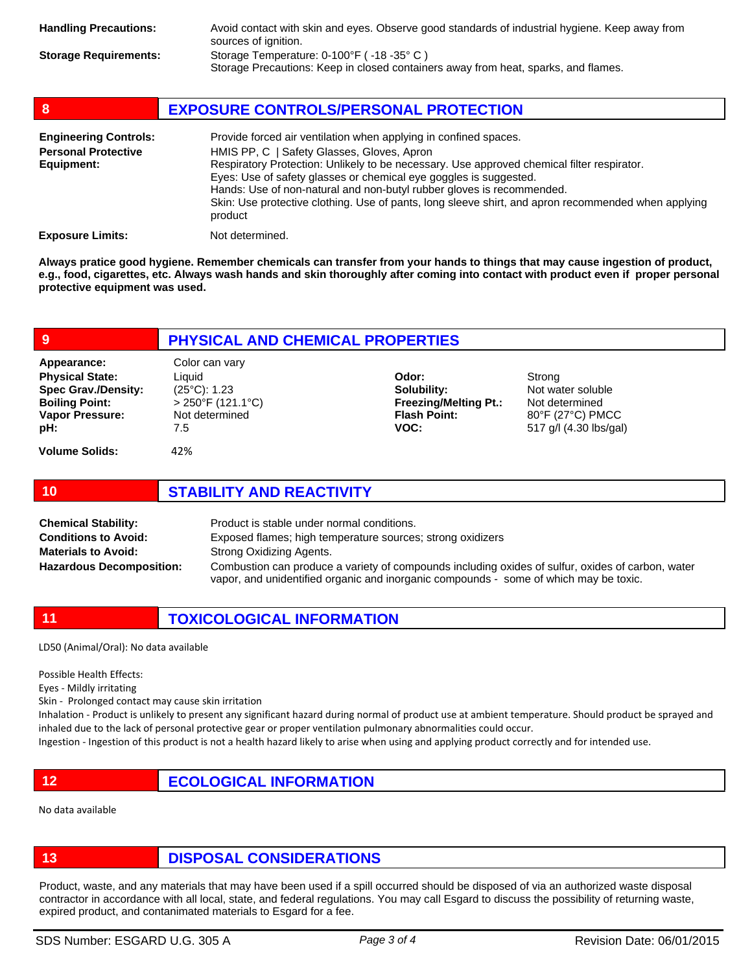| <b>Handling Precautions:</b> | Avoid contact with skin and eyes. Observe good standards of industrial hygiene. Keep away from<br>sources of ignition.         |
|------------------------------|--------------------------------------------------------------------------------------------------------------------------------|
| <b>Storage Requirements:</b> | Storage Temperature: 0-100°F (-18 -35°C)<br>Storage Precautions: Keep in closed containers away from heat, sparks, and flames. |

| 8                                                                        | <b>EXPOSURE CONTROLS/PERSONAL PROTECTION</b>                                                                                                                                                                                                                                                                                                                                                                                                                                 |  |
|--------------------------------------------------------------------------|------------------------------------------------------------------------------------------------------------------------------------------------------------------------------------------------------------------------------------------------------------------------------------------------------------------------------------------------------------------------------------------------------------------------------------------------------------------------------|--|
| <b>Engineering Controls:</b><br><b>Personal Protective</b><br>Equipment: | Provide forced air ventilation when applying in confined spaces.<br>HMIS PP, C   Safety Glasses, Gloves, Apron<br>Respiratory Protection: Unlikely to be necessary. Use approved chemical filter respirator.<br>Eyes: Use of safety glasses or chemical eye goggles is suggested.<br>Hands: Use of non-natural and non-butyl rubber gloves is recommended.<br>Skin: Use protective clothing. Use of pants, long sleeve shirt, and apron recommended when applying<br>product |  |
| <b>Exposure Limits:</b>                                                  | Not determined.                                                                                                                                                                                                                                                                                                                                                                                                                                                              |  |

**Always pratice good hygiene. Remember chemicals can transfer from your hands to things that may cause ingestion of product, e.g., food, cigarettes, etc. Always wash hands and skin thoroughly after coming into contact with product even if proper personal protective equipment was used.** 

| 9                                                                                                                             | <b>PHYSICAL AND CHEMICAL PROPERTIES</b>                                                            |                                                                                     |                                                                                             |  |
|-------------------------------------------------------------------------------------------------------------------------------|----------------------------------------------------------------------------------------------------|-------------------------------------------------------------------------------------|---------------------------------------------------------------------------------------------|--|
| Appearance:<br><b>Physical State:</b><br><b>Spec Grav./Density:</b><br><b>Boiling Point:</b><br><b>Vapor Pressure:</b><br>pH: | Color can vary<br>Liquid<br>$(25^{\circ}C)$ : 1.23<br>$>$ 250°F (121.1°C)<br>Not determined<br>7.5 | Odor:<br>Solubility:<br><b>Freezing/Melting Pt.:</b><br><b>Flash Point:</b><br>VOC: | Strong<br>Not water soluble<br>Not determined<br>80°F (27°C) PMCC<br>517 g/l (4.30 lbs/gal) |  |
| <b>Volume Solids:</b>                                                                                                         | 42%                                                                                                |                                                                                     |                                                                                             |  |

## **10 STABILITY AND REACTIVITY**

Product is stable under normal conditions. Exposed flames; high temperature sources; strong oxidizers Strong Oxidizing Agents. Combustion can produce a variety of compounds including oxides of sulfur, oxides of carbon, water vapor, and unidentified organic and inorganic compounds - some of which may be toxic. **Chemical Stability: Conditions to Avoid: Materials to Avoid: Hazardous Decomposition:**

# **11 TOXICOLOGICAL INFORMATION**

LD50 (Animal/Oral): No data available

Possible Health Effects:

Eyes - Mildly irritating

Skin - Prolonged contact may cause skin irritation

Inhalation - Product is unlikely to present any significant hazard during normal of product use at ambient temperature. Should product be sprayed and inhaled due to the lack of personal protective gear or proper ventilation pulmonary abnormalities could occur.

Ingestion - Ingestion of this product is not a health hazard likely to arise when using and applying product correctly and for intended use.

**12 ECOLOGICAL INFORMATION** 

No data available

**13 DISPOSAL CONSIDERATIONS**

Product, waste, and any materials that may have been used if a spill occurred should be disposed of via an authorized waste disposal contractor in accordance with all local, state, and federal regulations. You may call Esgard to discuss the possibility of returning waste, expired product, and contanimated materials to Esgard for a fee.